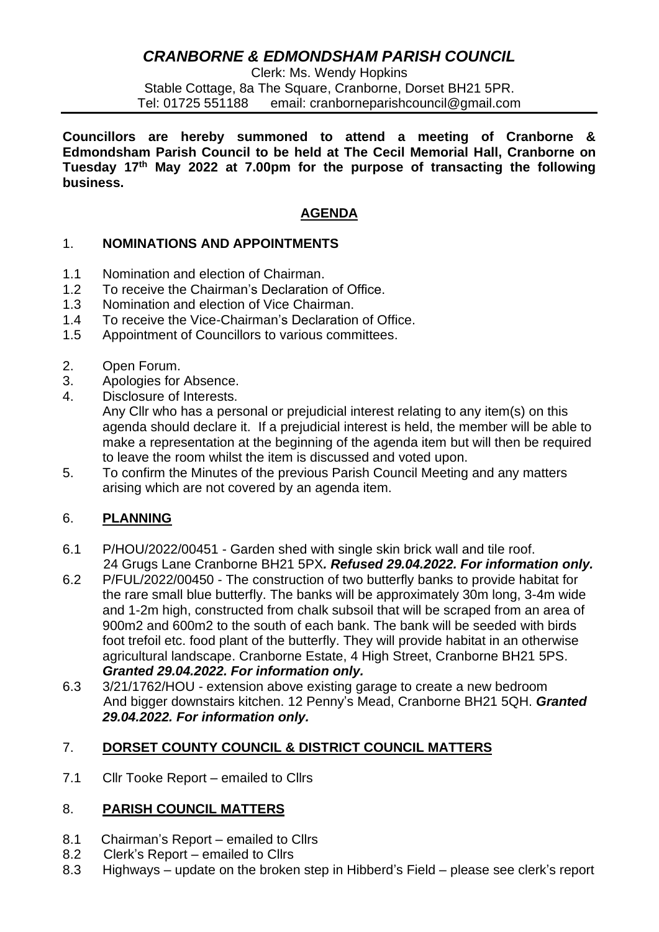# *CRANBORNE & EDMONDSHAM PARISH COUNCIL*

Clerk: Ms. Wendy Hopkins Stable Cottage, 8a The Square, Cranborne, Dorset BH21 5PR. Tel: 01725 551188 email: cranborneparishcouncil@gmail.com

**Councillors are hereby summoned to attend a meeting of Cranborne & Edmondsham Parish Council to be held at The Cecil Memorial Hall, Cranborne on Tuesday 17th May 2022 at 7.00pm for the purpose of transacting the following business.**

### **AGENDA**

## 1. **NOMINATIONS AND APPOINTMENTS**

- 1.1 Nomination and election of Chairman.
- 1.2 To receive the Chairman's Declaration of Office.
- 1.3 Nomination and election of Vice Chairman.
- 1.4 To receive the Vice-Chairman's Declaration of Office.
- 1.5 Appointment of Councillors to various committees.
- 2. Open Forum.
- 3. Apologies for Absence.
- 4. Disclosure of Interests.

Any Cllr who has a personal or prejudicial interest relating to any item(s) on this agenda should declare it. If a prejudicial interest is held, the member will be able to make a representation at the beginning of the agenda item but will then be required to leave the room whilst the item is discussed and voted upon.

5. To confirm the Minutes of the previous Parish Council Meeting and any matters arising which are not covered by an agenda item.

#### 6. **PLANNING**

- 6.1 P/HOU/2022/00451 Garden shed with single skin brick wall and tile roof. 24 Grugs Lane Cranborne BH21 5PX*. Refused 29.04.2022. For information only.*
- 6.2 P/FUL/2022/00450 The construction of two butterfly banks to provide habitat for the rare small blue butterfly. The banks will be approximately 30m long, 3-4m wide and 1-2m high, constructed from chalk subsoil that will be scraped from an area of 900m2 and 600m2 to the south of each bank. The bank will be seeded with birds foot trefoil etc. food plant of the butterfly. They will provide habitat in an otherwise agricultural landscape. Cranborne Estate, 4 High Street, Cranborne BH21 5PS. *Granted 29.04.2022. For information only.*
- 6.3 3/21/1762/HOU extension above existing garage to create a new bedroom And bigger downstairs kitchen. 12 Penny's Mead, Cranborne BH21 5QH. *Granted 29.04.2022. For information only.*

#### 7. **DORSET COUNTY COUNCIL & DISTRICT COUNCIL MATTERS**

7.1 Cllr Tooke Report – emailed to Cllrs

#### 8. **PARISH COUNCIL MATTERS**

- 8.1 Chairman's Report emailed to Cllrs
- 8.2 Clerk's Report emailed to Cllrs
- 8.3 Highways update on the broken step in Hibberd's Field please see clerk's report